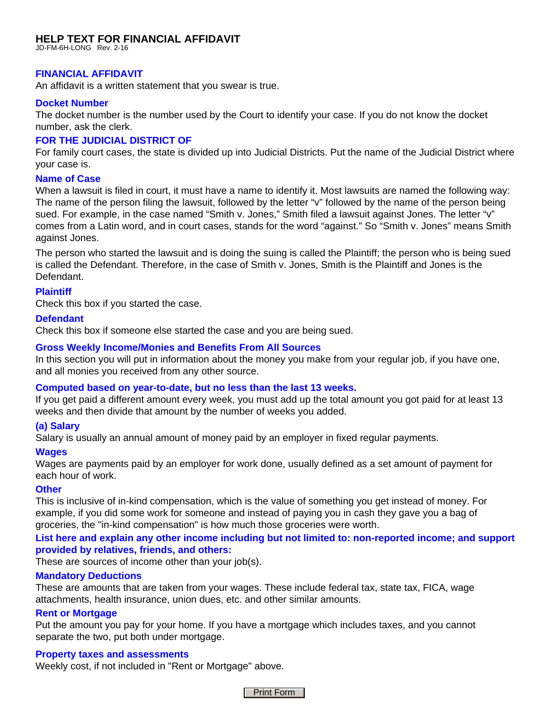# **HELP TEXT FOR FINANCIAL AFFIDAVIT**  JD-FM-6H-LONG Rev. 2-16

# **FINANCIAL AFFIDAVIT**

An affidavit is a written statement that you swear is true.

## **Docket Number**

The docket number is the number used by the Court to identify your case. If you do not know the docket number, ask the clerk.

## **FOR THE JUDICIAL DISTRICT OF**

For family court cases, the state is divided up into Judicial Districts. Put the name of the Judicial District where your case is.

## **Name of Case**

When a lawsuit is filed in court, it must have a name to identify it. Most lawsuits are named the following way: The name of the person filing the lawsuit, followed by the letter "v" followed by the name of the person being sued. For example, in the case named "Smith v. Jones," Smith filed a lawsuit against Jones. The letter "v" comes from a Latin word, and in court cases, stands for the word "against." So "Smith v. Jones" means Smith against Jones.

The person who started the lawsuit and is doing the suing is called the Plaintiff; the person who is being sued is called the Defendant. Therefore, in the case of Smith v. Jones, Smith is the Plaintiff and Jones is the Defendant.

## **Plaintiff**

Check this box if you started the case.

## **Defendant**

Check this box if someone else started the case and you are being sued.

## **Gross Weekly Income/Monies and Benefits From All Sources**

In this section you will put in information about the money you make from your regular job, if you have one, and all monies you received from any other source.

## **Computed based on year-to-date, but no less than the last 13 weeks.**

If you get paid a different amount every week, you must add up the total amount you got paid for at least 13 weeks and then divide that amount by the number of weeks you added.

# **(a) Salary**

Salary is usually an annual amount of money paid by an employer in fixed regular payments.

## **Wages**

Wages are payments paid by an employer for work done, usually defined as a set amount of payment for each hour of work.

## **Other**

This is inclusive of in-kind compensation, which is the value of something you get instead of money. For example, if you did some work for someone and instead of paying you in cash they gave you a bag of groceries, the "in-kind compensation" is how much those groceries were worth.

# **List here and explain any other income including but not limited to: non-reported income; and support provided by relatives, friends, and others:**

These are sources of income other than your job(s).

## **Mandatory Deductions**

These are amounts that are taken from your wages. These include federal tax, state tax, FICA, wage attachments, health insurance, union dues, etc. and other similar amounts.

## **Rent or Mortgage**

Put the amount you pay for your home. If you have a mortgage which includes taxes, and you cannot separate the two, put both under mortgage.

## **Property taxes and assessments**

Weekly cost, if not included in "Rent or Mortgage" above.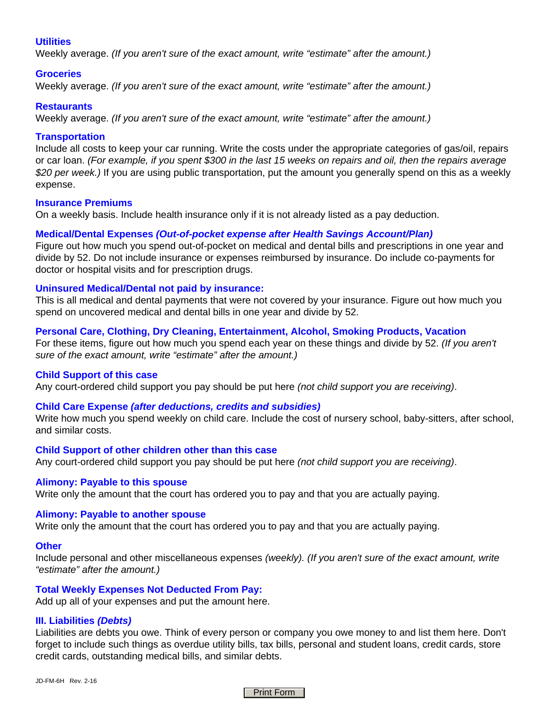## **Utilities**

Weekly average. *(If you aren't sure of the exact amount, write "estimate" after the amount.)*

### **Groceries**

Weekly average. *(If you aren't sure of the exact amount, write "estimate" after the amount.)*

#### **Restaurants**

Weekly average. *(If you aren't sure of the exact amount, write "estimate" after the amount.)*

## **Transportation**

Include all costs to keep your car running. Write the costs under the appropriate categories of gas/oil, repairs or car loan. *(For example, if you spent \$300 in the last 15 weeks on repairs and oil, then the repairs average \$20 per week.)* If you are using public transportation, put the amount you generally spend on this as a weekly expense.

#### **Insurance Premiums**

On a weekly basis. Include health insurance only if it is not already listed as a pay deduction.

## **Medical/Dental Expenses** *(Out-of-pocket expense after Health Savings Account/Plan)*

Figure out how much you spend out-of-pocket on medical and dental bills and prescriptions in one year and divide by 52. Do not include insurance or expenses reimbursed by insurance. Do include co-payments for doctor or hospital visits and for prescription drugs.

## **Uninsured Medical/Dental not paid by insurance:**

This is all medical and dental payments that were not covered by your insurance. Figure out how much you spend on uncovered medical and dental bills in one year and divide by 52.

#### **Personal Care, Clothing, Dry Cleaning, Entertainment, Alcohol, Smoking Products, Vacation**

For these items, figure out how much you spend each year on these things and divide by 52. *(If you aren't sure of the exact amount, write "estimate" after the amount.)*

## **Child Support of this case**

Any court-ordered child support you pay should be put here *(not child support you are receiving)*.

## **Child Care Expense** *(after deductions, credits and subsidies)*

Write how much you spend weekly on child care. Include the cost of nursery school, baby-sitters, after school, and similar costs.

#### **Child Support of other children other than this case**

Any court-ordered child support you pay should be put here *(not child support you are receiving)*.

#### **Alimony: Payable to this spouse**

Write only the amount that the court has ordered you to pay and that you are actually paying.

#### **Alimony: Payable to another spouse**

Write only the amount that the court has ordered you to pay and that you are actually paying.

#### **Other**

Include personal and other miscellaneous expenses *(weekly). (If you aren't sure of the exact amount, write "estimate" after the amount.)*

#### **Total Weekly Expenses Not Deducted From Pay:**

Add up all of your expenses and put the amount here.

## **III. Liabilities** *(Debts)*

Liabilities are debts you owe. Think of every person or company you owe money to and list them here. Don't forget to include such things as overdue utility bills, tax bills, personal and student loans, credit cards, store credit cards, outstanding medical bills, and similar debts.

JD-FM-6H Rev. 2-16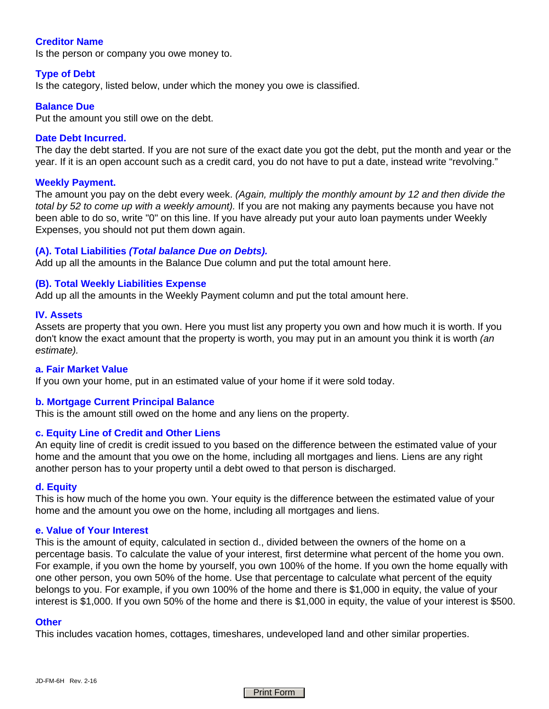## **Creditor Name**

Is the person or company you owe money to.

## **Type of Debt**

Is the category, listed below, under which the money you owe is classified.

#### **Balance Due**

Put the amount you still owe on the debt.

#### **Date Debt Incurred.**

The day the debt started. If you are not sure of the exact date you got the debt, put the month and year or the year. If it is an open account such as a credit card, you do not have to put a date, instead write "revolving."

## **Weekly Payment.**

The amount you pay on the debt every week. *(Again, multiply the monthly amount by 12 and then divide the total by 52 to come up with a weekly amount).* If you are not making any payments because you have not been able to do so, write "0" on this line. If you have already put your auto loan payments under Weekly Expenses, you should not put them down again.

#### **(A). Total Liabilities** *(Total balance Due on Debts).*

Add up all the amounts in the Balance Due column and put the total amount here.

#### **(B). Total Weekly Liabilities Expense**

Add up all the amounts in the Weekly Payment column and put the total amount here.

#### **IV. Assets**

Assets are property that you own. Here you must list any property you own and how much it is worth. If you don't know the exact amount that the property is worth, you may put in an amount you think it is worth *(an estimate).*

#### **a. Fair Market Value**

If you own your home, put in an estimated value of your home if it were sold today.

#### **b. Mortgage Current Principal Balance**

This is the amount still owed on the home and any liens on the property.

## **c. Equity Line of Credit and Other Liens**

An equity line of credit is credit issued to you based on the difference between the estimated value of your home and the amount that you owe on the home, including all mortgages and liens. Liens are any right another person has to your property until a debt owed to that person is discharged.

#### **d. Equity**

This is how much of the home you own. Your equity is the difference between the estimated value of your home and the amount you owe on the home, including all mortgages and liens.

#### **e. Value of Your Interest**

This is the amount of equity, calculated in section d., divided between the owners of the home on a percentage basis. To calculate the value of your interest, first determine what percent of the home you own. For example, if you own the home by yourself, you own 100% of the home. If you own the home equally with one other person, you own 50% of the home. Use that percentage to calculate what percent of the equity belongs to you. For example, if you own 100% of the home and there is \$1,000 in equity, the value of your interest is \$1,000. If you own 50% of the home and there is \$1,000 in equity, the value of your interest is \$500.

#### **Other**

This includes vacation homes, cottages, timeshares, undeveloped land and other similar properties.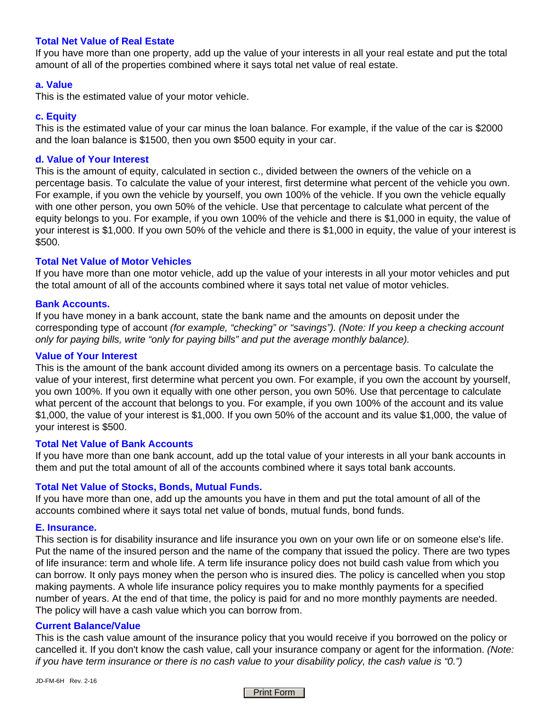## **Total Net Value of Real Estate**

If you have more than one property, add up the value of your interests in all your real estate and put the total amount of all of the properties combined where it says total net value of real estate.

## **a. Value**

This is the estimated value of your motor vehicle.

## **c. Equity**

This is the estimated value of your car minus the loan balance. For example, if the value of the car is \$2000 and the loan balance is \$1500, then you own \$500 equity in your car.

## **d. Value of Your Interest**

This is the amount of equity, calculated in section c., divided between the owners of the vehicle on a percentage basis. To calculate the value of your interest, first determine what percent of the vehicle you own. For example, if you own the vehicle by yourself, you own 100% of the vehicle. If you own the vehicle equally with one other person, you own 50% of the vehicle. Use that percentage to calculate what percent of the equity belongs to you. For example, if you own 100% of the vehicle and there is \$1,000 in equity, the value of your interest is \$1,000. If you own 50% of the vehicle and there is \$1,000 in equity, the value of your interest is \$500.

## **Total Net Value of Motor Vehicles**

If you have more than one motor vehicle, add up the value of your interests in all your motor vehicles and put the total amount of all of the accounts combined where it says total net value of motor vehicles.

#### **Bank Accounts.**

If you have money in a bank account, state the bank name and the amounts on deposit under the corresponding type of account *(for example, "checking" or "savings"). (Note: If you keep a checking account only for paying bills, write "only for paying bills" and put the average monthly balance).*

## **Value of Your Interest**

This is the amount of the bank account divided among its owners on a percentage basis. To calculate the value of your interest, first determine what percent you own. For example, if you own the account by yourself, you own 100%. If you own it equally with one other person, you own 50%. Use that percentage to calculate what percent of the account that belongs to you. For example, if you own 100% of the account and its value \$1,000, the value of your interest is \$1,000. If you own 50% of the account and its value \$1,000, the value of your interest is \$500.

#### **Total Net Value of Bank Accounts**

If you have more than one bank account, add up the total value of your interests in all your bank accounts in them and put the total amount of all of the accounts combined where it says total bank accounts.

## **Total Net Value of Stocks, Bonds, Mutual Funds.**

If you have more than one, add up the amounts you have in them and put the total amount of all of the accounts combined where it says total net value of bonds, mutual funds, bond funds.

#### **E. Insurance.**

This section is for disability insurance and life insurance you own on your own life or on someone else's life. Put the name of the insured person and the name of the company that issued the policy. There are two types of life insurance: term and whole life. A term life insurance policy does not build cash value from which you can borrow. It only pays money when the person who is insured dies. The policy is cancelled when you stop making payments. A whole life insurance policy requires you to make monthly payments for a specified number of years. At the end of that time, the policy is paid for and no more monthly payments are needed. The policy will have a cash value which you can borrow from.

#### **Current Balance/Value**

This is the cash value amount of the insurance policy that you would receive if you borrowed on the policy or cancelled it. If you don't know the cash value, call your insurance company or agent for the information. *(Note: if you have term insurance or there is no cash value to your disability policy, the cash value is "0.")*